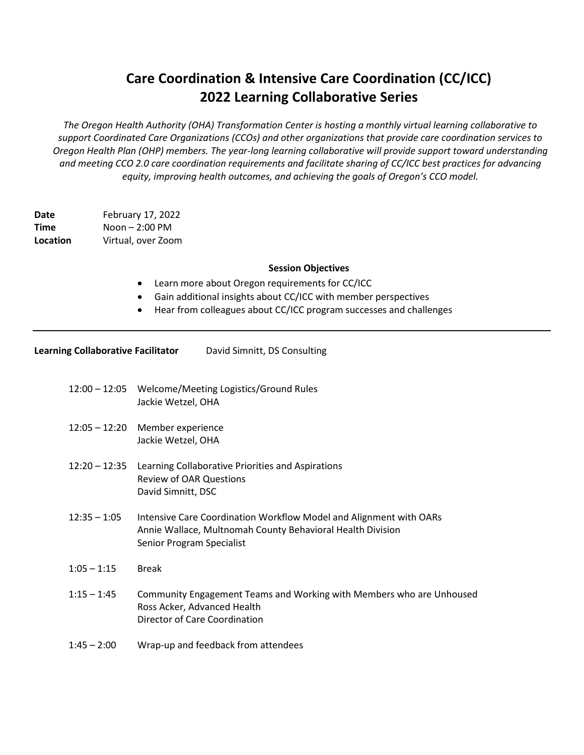## **Care Coordination & Intensive Care Coordination (CC/ICC) 2022 Learning Collaborative Series**

*The Oregon Health Authority (OHA) Transformation Center is hosting a monthly virtual learning collaborative to support Coordinated Care Organizations (CCOs) and other organizations that provide care coordination services to Oregon Health Plan (OHP) members. The year-long learning collaborative will provide support toward understanding and meeting CCO 2.0 care coordination requirements and facilitate sharing of CC/ICC best practices for advancing equity, improving health outcomes, and achieving the goals of Oregon's CCO model.*

**Date** February 17, 2022 **Time** Noon – 2:00 PM **Location** Virtual, over Zoom

## **Session Objectives**

- Learn more about Oregon requirements for CC/ICC
- Gain additional insights about CC/ICC with member perspectives
- Hear from colleagues about CC/ICC program successes and challenges

| <b>Learning Collaborative Facilitator</b> | David Simnitt, DS Consulting |
|-------------------------------------------|------------------------------|
|                                           |                              |

- 12:00 12:05 Welcome/Meeting Logistics/Ground Rules Jackie Wetzel, OHA
- 12:05 12:20 Member experience Jackie Wetzel, OHA
- 12:20 12:35 Learning Collaborative Priorities and Aspirations Review of OAR Questions David Simnitt, DSC
- 12:35 1:05 Intensive Care Coordination Workflow Model and Alignment with OARs Annie Wallace, Multnomah County Behavioral Health Division Senior Program Specialist
- $1:05 1:15$  Break
- 1:15 1:45 Community Engagement Teams and Working with Members who are Unhoused Ross Acker, Advanced Health Director of Care Coordination
- 1:45 2:00 Wrap-up and feedback from attendees